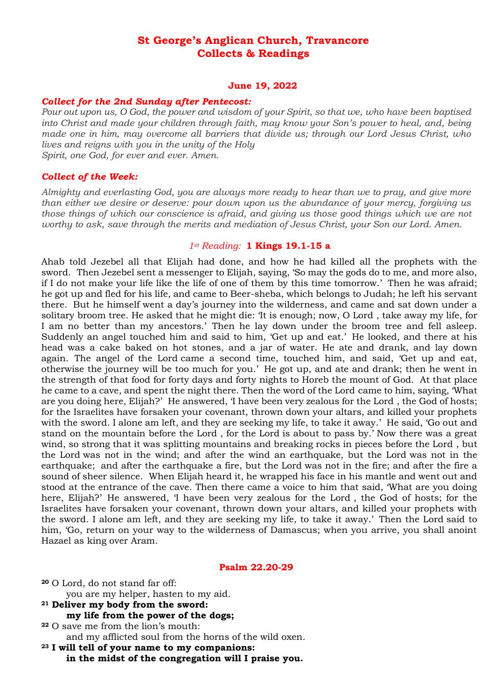# **St George's Anglican Church, Travancore Collects & Readings**

### **June 19, 2022**

## *Collect for the 2nd Sunday after Pentecost:*

*Pour out upon us, O God, the power and wisdom of your Spirit, so that we, who have been baptised into Christ and made your children through faith, may know your Son's power to heal, and, being made one in him, may overcome all barriers that divide us; through our Lord Jesus Christ, who lives and reigns with you in the unity of the Holy Spirit, one God, for ever and ever. Amen.*

## *Collect of the Week:*

*Almighty and everlasting God, you are always more ready to hear than we to pray, and give more than either we desire or deserve: pour down upon us the abundance of your mercy, forgiving us those things of which our conscience is afraid, and giving us those good things which we are not worthy to ask, save through the merits and mediation of Jesus Christ, your Son our Lord. Amen.*

# *1st Reading:* **1 Kings 19.1-15 a**

Ahab told Jezebel all that Elijah had done, and how he had killed all the prophets with the sword. Then Jezebel sent a messenger to Elijah, saying, 'So may the gods do to me, and more also, if I do not make your life like the life of one of them by this time tomorrow.' Then he was afraid; he got up and fled for his life, and came to Beer-sheba, which belongs to Judah; he left his servant there. But he himself went a day's journey into the wilderness, and came and sat down under a solitary broom tree. He asked that he might die: 'It is enough; now, O Lord , take away my life, for I am no better than my ancestors.' Then he lay down under the broom tree and fell asleep. Suddenly an angel touched him and said to him, 'Get up and eat.' He looked, and there at his head was a cake baked on hot stones, and a jar of water. He ate and drank, and lay down again. The angel of the Lord came a second time, touched him, and said, 'Get up and eat, otherwise the journey will be too much for you.' He got up, and ate and drank; then he went in the strength of that food for forty days and forty nights to Horeb the mount of God. At that place he came to a cave, and spent the night there. Then the word of the Lord came to him, saying, 'What are you doing here, Elijah?' He answered, 'I have been very zealous for the Lord , the God of hosts; for the Israelites have forsaken your covenant, thrown down your altars, and killed your prophets with the sword. I alone am left, and they are seeking my life, to take it away.' He said, 'Go out and stand on the mountain before the Lord , for the Lord is about to pass by.' Now there was a great wind, so strong that it was splitting mountains and breaking rocks in pieces before the Lord , but the Lord was not in the wind; and after the wind an earthquake, but the Lord was not in the earthquake; and after the earthquake a fire, but the Lord was not in the fire; and after the fire a sound of sheer silence. When Elijah heard it, he wrapped his face in his mantle and went out and stood at the entrance of the cave. Then there came a voice to him that said, 'What are you doing here, Elijah?' He answered, 'I have been very zealous for the Lord , the God of hosts; for the Israelites have forsaken your covenant, thrown down your altars, and killed your prophets with the sword. I alone am left, and they are seeking my life, to take it away.' Then the Lord said to him, 'Go, return on your way to the wilderness of Damascus; when you arrive, you shall anoint Hazael as king over Aram.

#### **Psalm 22.20-29**

- **<sup>20</sup>** O Lord, do not stand far off: you are my helper, hasten to my aid. **<sup>21</sup> Deliver my body from the sword: my life from the power of the dogs;**
- **<sup>22</sup>** O save me from the lion's mouth: and my afflicted soul from the horns of the wild oxen.
- **<sup>23</sup> I will tell of your name to my companions: in the midst of the congregation will I praise you.**